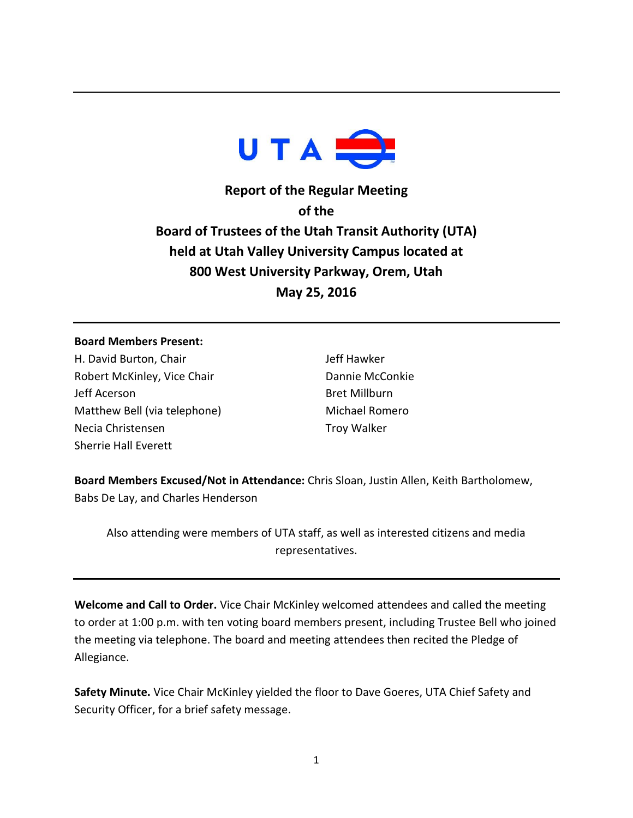

**Report of the Regular Meeting of the Board of Trustees of the Utah Transit Authority (UTA) held at Utah Valley University Campus located at 800 West University Parkway, Orem, Utah May 25, 2016**

## **Board Members Present:**

H. David Burton, Chair Robert McKinley, Vice Chair Jeff Acerson Matthew Bell (via telephone) Necia Christensen Sherrie Hall Everett

Jeff Hawker Dannie McConkie Bret Millburn Michael Romero Troy Walker

**Board Members Excused/Not in Attendance:** Chris Sloan, Justin Allen, Keith Bartholomew, Babs De Lay, and Charles Henderson

Also attending were members of UTA staff, as well as interested citizens and media representatives.

**Welcome and Call to Order.** Vice Chair McKinley welcomed attendees and called the meeting to order at 1:00 p.m. with ten voting board members present, including Trustee Bell who joined the meeting via telephone. The board and meeting attendees then recited the Pledge of Allegiance.

**Safety Minute.** Vice Chair McKinley yielded the floor to Dave Goeres, UTA Chief Safety and Security Officer, for a brief safety message.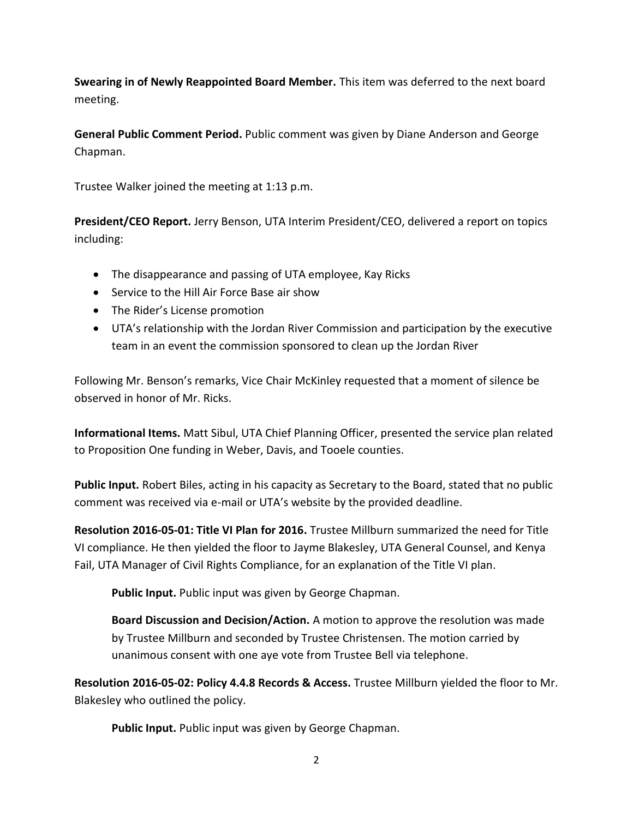**Swearing in of Newly Reappointed Board Member.** This item was deferred to the next board meeting.

**General Public Comment Period.** Public comment was given by Diane Anderson and George Chapman.

Trustee Walker joined the meeting at 1:13 p.m.

**President/CEO Report.** Jerry Benson, UTA Interim President/CEO, delivered a report on topics including:

- The disappearance and passing of UTA employee, Kay Ricks
- Service to the Hill Air Force Base air show
- The Rider's License promotion
- UTA's relationship with the Jordan River Commission and participation by the executive team in an event the commission sponsored to clean up the Jordan River

Following Mr. Benson's remarks, Vice Chair McKinley requested that a moment of silence be observed in honor of Mr. Ricks.

**Informational Items.** Matt Sibul, UTA Chief Planning Officer, presented the service plan related to Proposition One funding in Weber, Davis, and Tooele counties.

**Public Input.** Robert Biles, acting in his capacity as Secretary to the Board, stated that no public comment was received via e-mail or UTA's website by the provided deadline.

**Resolution 2016-05-01: Title VI Plan for 2016.** Trustee Millburn summarized the need for Title VI compliance. He then yielded the floor to Jayme Blakesley, UTA General Counsel, and Kenya Fail, UTA Manager of Civil Rights Compliance, for an explanation of the Title VI plan.

**Public Input.** Public input was given by George Chapman.

**Board Discussion and Decision/Action.** A motion to approve the resolution was made by Trustee Millburn and seconded by Trustee Christensen. The motion carried by unanimous consent with one aye vote from Trustee Bell via telephone.

**Resolution 2016-05-02: Policy 4.4.8 Records & Access.** Trustee Millburn yielded the floor to Mr. Blakesley who outlined the policy.

**Public Input.** Public input was given by George Chapman.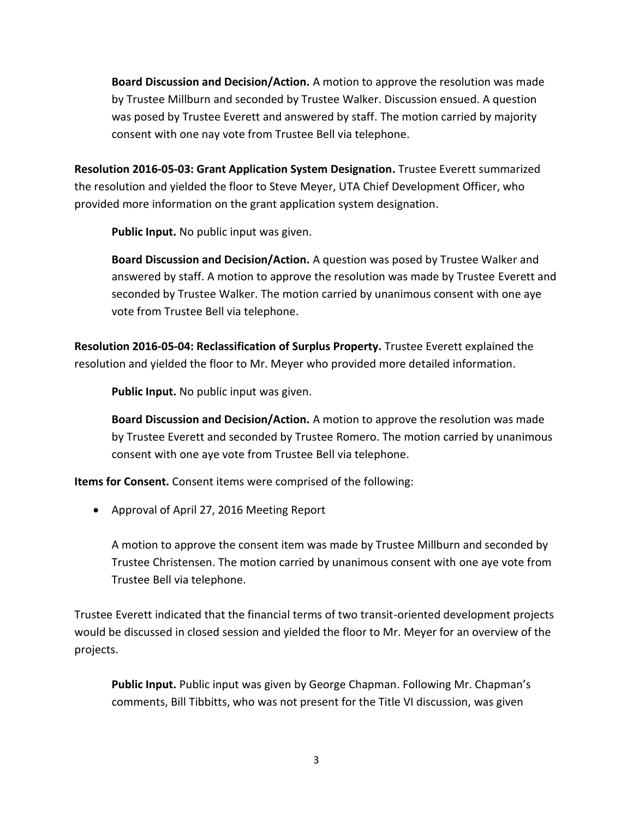**Board Discussion and Decision/Action.** A motion to approve the resolution was made by Trustee Millburn and seconded by Trustee Walker. Discussion ensued. A question was posed by Trustee Everett and answered by staff. The motion carried by majority consent with one nay vote from Trustee Bell via telephone.

**Resolution 2016-05-03: Grant Application System Designation.** Trustee Everett summarized the resolution and yielded the floor to Steve Meyer, UTA Chief Development Officer, who provided more information on the grant application system designation.

**Public Input.** No public input was given.

**Board Discussion and Decision/Action.** A question was posed by Trustee Walker and answered by staff. A motion to approve the resolution was made by Trustee Everett and seconded by Trustee Walker. The motion carried by unanimous consent with one aye vote from Trustee Bell via telephone.

**Resolution 2016-05-04: Reclassification of Surplus Property.** Trustee Everett explained the resolution and yielded the floor to Mr. Meyer who provided more detailed information.

**Public Input.** No public input was given.

**Board Discussion and Decision/Action.** A motion to approve the resolution was made by Trustee Everett and seconded by Trustee Romero. The motion carried by unanimous consent with one aye vote from Trustee Bell via telephone.

**Items for Consent.** Consent items were comprised of the following:

Approval of April 27, 2016 Meeting Report

A motion to approve the consent item was made by Trustee Millburn and seconded by Trustee Christensen. The motion carried by unanimous consent with one aye vote from Trustee Bell via telephone.

Trustee Everett indicated that the financial terms of two transit-oriented development projects would be discussed in closed session and yielded the floor to Mr. Meyer for an overview of the projects.

**Public Input.** Public input was given by George Chapman. Following Mr. Chapman's comments, Bill Tibbitts, who was not present for the Title VI discussion, was given